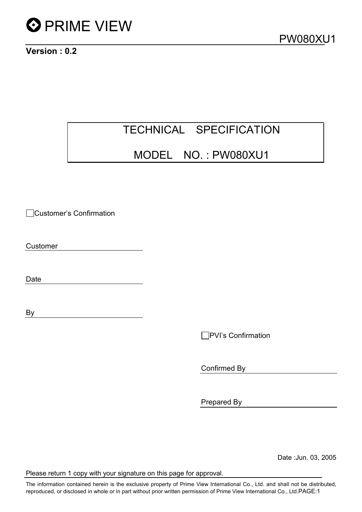

Version : 0.2

### TECHNICAL SPECIFICATION

### MODEL NO. : PW080XU1

Customer's Confirmation

Customer

Date

By

**PVI's Confirmation** 

Confirmed By

Prepared By

Date :Jun. 03, 2005

Please return 1 copy with your signature on this page for approval.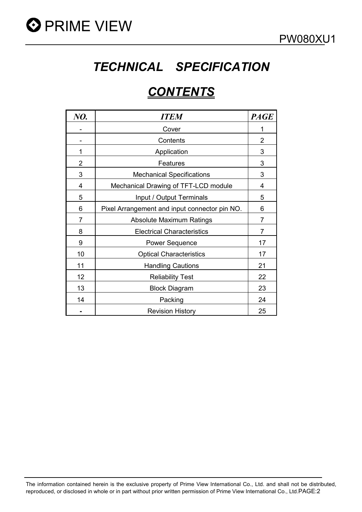

### *TECHNICAL SPECIFICATION*

### *CONTENTS*

| NO.            | <b>ITEM</b>                                   | <b>PAGE</b>    |
|----------------|-----------------------------------------------|----------------|
|                | Cover                                         | 1              |
|                | Contents                                      | $\overline{2}$ |
| 1              | Application                                   | 3              |
| $\overline{2}$ | Features                                      | 3              |
| 3              | <b>Mechanical Specifications</b>              | 3              |
| 4              | Mechanical Drawing of TFT-LCD module          | 4              |
| 5              | Input / Output Terminals                      | 5              |
| 6              | Pixel Arrangement and input connector pin NO. | 6              |
| 7              | Absolute Maximum Ratings                      | $\overline{7}$ |
| 8              | <b>Electrical Characteristics</b>             | $\overline{7}$ |
| 9              | <b>Power Sequence</b>                         | 17             |
| 10             | <b>Optical Characteristics</b>                | 17             |
| 11             | <b>Handling Cautions</b>                      | 21             |
| 12             | <b>Reliability Test</b>                       | 22             |
| 13             | <b>Block Diagram</b>                          | 23             |
| 14             | Packing                                       | 24             |
|                | <b>Revision History</b>                       | 25             |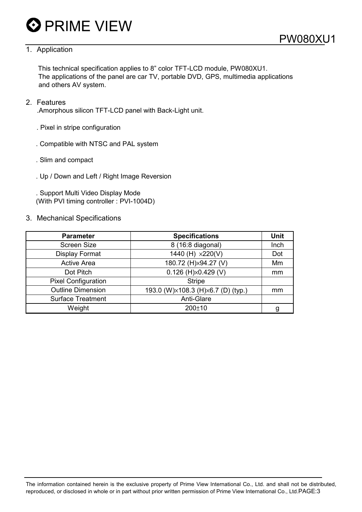#### 1. Application

This technical specification applies to 8" color TFT-LCD module, PW080XU1. The applications of the panel are car TV, portable DVD, GPS, multimedia applications and others AV system.

#### 2. Features

.Amorphous silicon TFT-LCD panel with Back-Light unit.

- . Pixel in stripe configuration
- . Compatible with NTSC and PAL system
- . Slim and compact
- . Up / Down and Left / Right Image Reversion

. Support Multi Video Display Mode (With PVI timing controller : PVI-1004D)

#### 3. Mechanical Specifications

| <b>Parameter</b>           | <b>Specifications</b>              | Unit |
|----------------------------|------------------------------------|------|
| <b>Screen Size</b>         | 8 (16:8 diagonal)                  | Inch |
| <b>Display Format</b>      | 1440 (H) x220(V)                   | Dot  |
| <b>Active Area</b>         | 180.72 (H)×94.27 (V)               | Mm   |
| Dot Pitch                  | $0.126$ (H) $\times$ 0.429 (V)     | mm   |
| <b>Pixel Configuration</b> | <b>Stripe</b>                      |      |
| <b>Outline Dimension</b>   | 193.0 (W)×108.3 (H)×6.7 (D) (typ.) | mm   |
| <b>Surface Treatment</b>   | Anti-Glare                         |      |
| Weight                     | $200+10$                           | g    |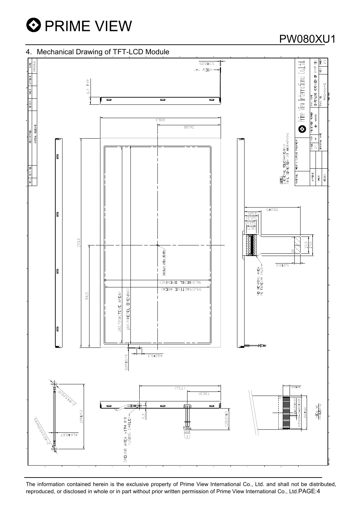

### 4. Mechanical Drawing of TFT-LCD Module

### PW080XU1

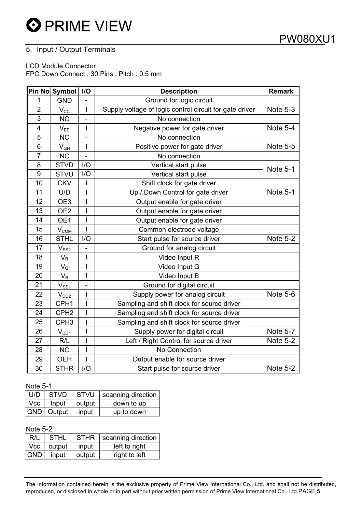### 5. Input / Output Terminals

LCD Module Connector

FPC Down Connect , 30 Pins , Pitch : 0.5 mm

|                 | Pin No Symbol                            | I/O            | <b>Description</b>                                      | <b>Remark</b>   |
|-----------------|------------------------------------------|----------------|---------------------------------------------------------|-----------------|
| 1               | <b>GND</b>                               |                | Ground for logic circuit                                |                 |
| $\overline{2}$  | $\mathsf{V}_{\texttt{CC}}$               | $\mathsf{I}$   | Supply voltage of logic control circuit for gate driver | Note 5-3        |
| $\overline{3}$  | <b>NC</b>                                |                | No connection                                           |                 |
| $\overline{4}$  | $V_{EE}$                                 | I              | Negative power for gate driver                          | Note 5-4        |
| 5               | <b>NC</b>                                | ä,             | No connection                                           |                 |
| $6\phantom{1}6$ | $V_{GH}$                                 | I              | Positive power for gate driver                          | <b>Note 5-5</b> |
| $\overline{7}$  | <b>NC</b>                                | ÷,             | No connection                                           |                 |
| 8               | <b>STVD</b>                              | I/O            | Vertical start pulse                                    | <b>Note 5-1</b> |
| 9               | <b>STVU</b>                              | I/O            | Vertical start pulse                                    |                 |
| 10              | <b>CKV</b>                               | $\overline{1}$ | Shift clock for gate driver                             |                 |
| 11              | U/D                                      | $\overline{1}$ | Up / Down Control for gate driver                       | <b>Note 5-1</b> |
| 12              | OE3                                      | I              | Output enable for gate driver                           |                 |
| 13              | OE <sub>2</sub>                          | I              | Output enable for gate driver                           |                 |
| 14              | OE1                                      | I              | Output enable for gate driver                           |                 |
| 15              | $V_{COM}$                                | I              | Common electrode voltage                                |                 |
| 16              | <b>STHL</b>                              | I/O            | Start pulse for source driver                           | Note 5-2        |
| 17              | $V_{SS2}$                                |                | Ground for analog circuit                               |                 |
| 18              | $V_{R}$                                  | I              | Video Input R                                           |                 |
| 19              | $V_G$                                    | I              | Video Input G                                           |                 |
| 20              | $V_B$                                    | I              | Video Input B                                           |                 |
| 21              | $V_{\underline{\underline{\text{SS1}}}}$ |                | Ground for digital circuit                              |                 |
| 22              | V <sub>DD2</sub>                         | I              | Supply power for analog circuit                         | Note 5-6        |
| 23              | CPH1                                     | I              | Sampling and shift clock for source driver              |                 |
| 24              | CPH <sub>2</sub>                         | I              | Sampling and shift clock for source driver              |                 |
| 25              | CPH <sub>3</sub>                         | $\overline{1}$ | Sampling and shift clock for source driver              |                 |
| 26              | $V_{DD1}$                                | I              | Supply power for digital circuit                        | Note 5-7        |
| 27              | R/L                                      | I              | Left / Right Control for source driver                  | Note 5-2        |
| 28              | <b>NC</b>                                | I              | No Connection                                           |                 |
| 29              | <b>OEH</b>                               | I              | Output enable for source driver                         |                 |
| 30              | <b>STHR</b>                              | I/O            | Start pulse for source driver                           | Note 5-2        |

#### Note 5-1

| U/D | <b>STVD</b>  |        | STVU   scanning direction |
|-----|--------------|--------|---------------------------|
| Vcc | Input        | output | down to up                |
|     | GND   Output | input  | up to down                |

#### Note 5-2

| R/L        | <b>STHL</b>  | <b>STHR</b> | scanning direction |
|------------|--------------|-------------|--------------------|
|            | Vcc   output | input       | left to right      |
| <b>GND</b> | input        | output      | right to left      |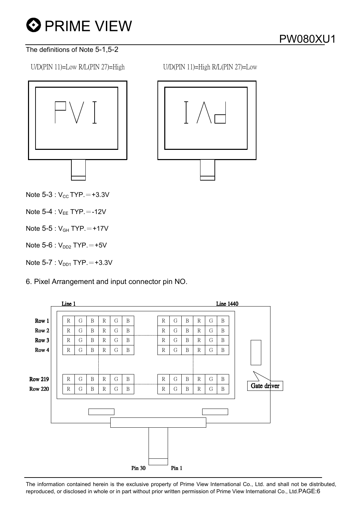#### The definitions of Note 5-1,5-2

U/D(PIN 11)=Low R/L(PIN 27)=High U/D(PIN 11)=High R/L(PIN 27)=Low





Note  $5-3$ :  $V_{CC}$  TYP.  $= +3.3V$ 

Note  $5-4$  :  $V_{EE}$  TYP.  $=$  -12V

Note  $5-5:V_{GH}$  TYP.  $=+17V$ 

Note  $5-6$  :  $V_{DD2}$  TYP.  $=+5V$ 

Note  $5-7 : V_{DD1}$  TYP.  $= +3.3V$ 

6. Pixel Arrangement and input connector pin NO.

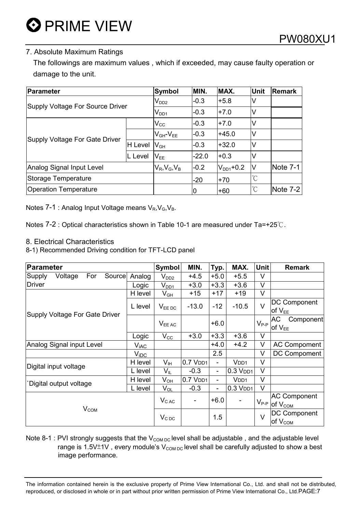The followings are maximum values , which if exceeded, may cause faulty operation or damage to the unit.

| Parameter                        | Symbol                | MIN.                | MAX.           | <b>Unit</b>          | <b>Remark</b>        |            |
|----------------------------------|-----------------------|---------------------|----------------|----------------------|----------------------|------------|
| Supply Voltage For Source Driver |                       | $V_{DD2}$           | $-0.3$         | $+5.8$               | V                    |            |
|                                  |                       | $V_{DD1}$           | $-0.3$         | $+7.0$               | V                    |            |
|                                  |                       | $V_{\rm CC}$        | $-0.3$         | $+7.0$               | V                    |            |
|                                  |                       | $V_{GH}$ - $V_{EE}$ | $-0.3$         | $+45.0$              | V                    |            |
| Supply Voltage For Gate Driver   | H Level               | $V_{GH}$            | $-0.3$         | $+32.0$              | M                    |            |
|                                  | L Level               | $V_{EE}$            | $-22.0$        | $+0.3$               | V                    |            |
| Analog Signal Input Level        | $V_R$ , $V_G$ , $V_B$ | $-0.2$              | $V_{DD1}$ +0.2 | V                    | Note $7-1$           |            |
| Storage Temperature              |                       | $-20$               | $+70$          | $\mathrm{C}^{\circ}$ |                      |            |
| <b>Operation Temperature</b>     |                       |                     | 0              | $+60$                | $\mathrm{C}^{\circ}$ | Note $7-2$ |

Notes 7-1 : Analog Input Voltage means  $V_R$ ,  $V_G$ ,  $V_B$ .

Notes  $7-2$ : Optical characteristics shown in Table 10-1 are measured under Ta=+25 $\degree$ C.

8. Electrical Characteristics

8-1) Recommended Driving condition for TFT-LCD panel

| <b>Parameter</b>                   | Symbol           | MIN.                       | Typ.                   | MAX.                     | <b>Unit</b>      | <b>Remark</b>                              |                                                               |
|------------------------------------|------------------|----------------------------|------------------------|--------------------------|------------------|--------------------------------------------|---------------------------------------------------------------|
| Source<br>Voltage<br>For<br>Supply | Analog           | $V_{DD2}$                  | $+4.5$                 | $+5.0$                   | $+5.5$           | V                                          |                                                               |
| <b>Driver</b>                      | Logic            | $V_{DD1}$                  | $+3.0$                 | $+3.3$                   | $+3.6$           | V                                          |                                                               |
|                                    | H level          | $V_{GH}$                   | $+15$                  | $+17$                    | $+19$            | V                                          |                                                               |
| Supply Voltage For Gate Driver     | L level          | $V_{EE\,DC}$               | $-13.0$                | $-12$                    | $-10.5$          | $\vee$                                     | <b>DC Component</b><br>$of V_{EE}$                            |
|                                    |                  | $V_{EE\,AC}$               |                        | $+6.0$                   |                  | $V_{P-P}$                                  | АC<br>Component<br>$\mathsf{I}$ of $\mathsf{V}_{\mathsf{EE}}$ |
|                                    | Logic            | $V_{\rm CC}$               | $+3.0$                 | $+3.3$                   | $+3.6$           | V                                          |                                                               |
| Analog Signal input Level          | V <sub>iAC</sub> |                            |                        | $+4.0$                   | $+4.2$           | V                                          | <b>AC Compoment</b>                                           |
|                                    | $V_{\text{IDC}}$ |                            |                        | 2.5                      |                  | V                                          | DC Compoment                                                  |
| Digital input voltage              | H level          | $\mathsf{V}_{\mathsf{IH}}$ | $0.7$ V <sub>DD1</sub> | $\overline{\phantom{a}}$ | V <sub>DD1</sub> | V                                          |                                                               |
|                                    | L level          | Vĩ                         | $-0.3$                 | -                        | $0.3$ $VDD1$     | V                                          |                                                               |
| Digital output voltage             | H level          | $\mathsf{V}_{\mathsf{OH}}$ | $0.7$ V <sub>DD1</sub> | -                        | V <sub>DD1</sub> | V                                          |                                                               |
|                                    | L level          | $\mathsf{V}_{\mathsf{OL}}$ | $-0.3$                 | -                        | $0.3$ $VDD1$     | $\vee$                                     |                                                               |
|                                    | $V_{CAC}$        | -                          | $+6.0$                 |                          | $V_{P-P}$        | <b>AC Component</b><br>of V <sub>COM</sub> |                                                               |
| $V_{COM}$                          |                  | $V_{C\,DC}$                |                        | 1.5                      |                  | $\vee$                                     | <b>DC Component</b><br>of $V_{COM}$                           |

Note 8-1 : PVI strongly suggests that the  $V_{COM\,DC}$  level shall be adjustable, and the adjustable level range is 1.5V $\pm$ 1V, every module's  $V_{\text{COM DC}}$  level shall be carefully adjusted to show a best image performance.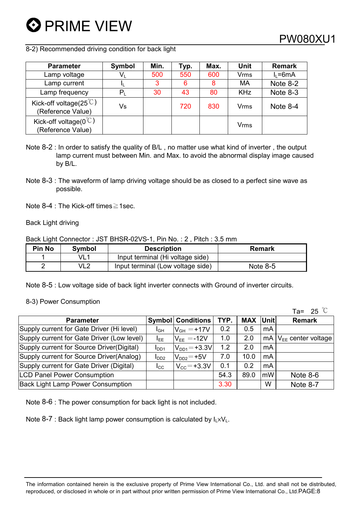8-2) Recommended driving condition for back light

| <b>Parameter</b>                                       | Symbol  | Min. | Typ. | Max. | Unit       | <b>Remark</b> |
|--------------------------------------------------------|---------|------|------|------|------------|---------------|
| Lamp voltage                                           | $V_{L}$ | 500  | 550  | 600  | Vrms       | $I_1 = 6mA$   |
| Lamp current                                           |         | 3    | 6    | 8    | <b>MA</b>  | Note 8-2      |
| Lamp frequency                                         | $P_1$   | 30   | 43   | 80   | <b>KHz</b> | Note 8-3      |
| Kick-off voltage( $25^{\circ}$ C)<br>(Reference Value) | Vs      |      | 720  | 830  | Vrms       | Note $8-4$    |
| Kick-off voltage( $0^{\degree}$ )<br>(Reference Value) |         |      |      |      | Vrms       |               |

- Note 8-2 : In order to satisfy the quality of B/L , no matter use what kind of inverter , the output lamp current must between Min. and Max. to avoid the abnormal display image caused by B/L.
- Note 8-3 : The waveform of lamp driving voltage should be as closed to a perfect sine wave as possible.
- Note  $8-4$  : The Kick-off times  $\geq 1$  sec.

#### Back Light driving

Back Light Connector : JST BHSR-02VS-1, Pin No. : 2 , Pitch : 3.5 mm

| <b>Pin No</b> | Symbol | <b>Description</b>                | <b>Remark</b> |
|---------------|--------|-----------------------------------|---------------|
|               | VL1    | Input terminal (Hi voltage side)  |               |
| ົ             | VL2    | Input terminal (Low voltage side) | Note $8-5$    |

Note 8-5 : Low voltage side of back light inverter connects with Ground of inverter circuits.

8-3) Power Consumption

|                                            |                  |                          |      |            |      | Ta= 25 $\degree$        |
|--------------------------------------------|------------------|--------------------------|------|------------|------|-------------------------|
| <b>Parameter</b>                           |                  | <b>Symbol Conditions</b> | TYP. | <b>MAX</b> | Unit | <b>Remark</b>           |
| Supply current for Gate Driver (Hi level)  | I <sub>GH</sub>  | $V_{GH} = +17V$          | 0.2  | 0.5        | mA   |                         |
| Supply current for Gate Driver (Low level) | I <sub>EE</sub>  | $V_{FF} = -12V$          | 1.0  | 2.0        | mA   | $V_{FF}$ center voltage |
| Supply current for Source Driver (Digital) | I <sub>DD1</sub> | $V_{DD1} = +3.3V$        | 1.2  | 2.0        | mA   |                         |
| Supply current for Source Driver(Analog)   | I <sub>DD2</sub> | $VDD2=+5V$               | 7.0  | 10.0       | mA   |                         |
| Supply current for Gate Driver (Digital)   | $I_{\rm CC}$     | $V_{\rm CC} = +3.3V$     | 0.1  | 0.2        | mA   |                         |
| <b>LCD Panel Power Consumption</b>         |                  |                          | 54.3 | 89.0       | mW   | Note 8-6                |
| <b>Back Light Lamp Power Consumption</b>   |                  |                          | 3.30 |            | W    | Note 8-7                |

Note 8-6 : The power consumption for back light is not included.

Note 8-7 : Back light lamp power consumption is calculated by  $I_L \times V_L$ .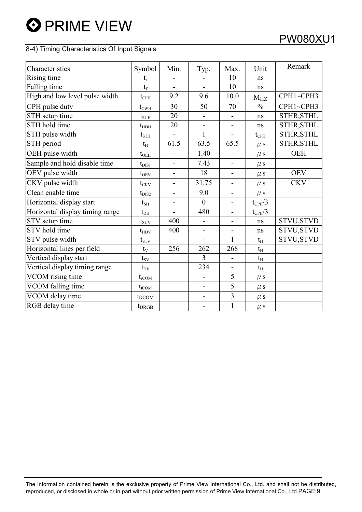### 8-4) Timing Characteristics Of Input Signals

| Characteristics                 | Symbol           | Min.                     | Typ.                     | Max.                         | Unit            | Remark            |
|---------------------------------|------------------|--------------------------|--------------------------|------------------------------|-----------------|-------------------|
| Rising time                     | $t_{r}$          |                          |                          | 10                           | ns              |                   |
| Falling time                    | $t_f$            | $\overline{a}$           | $\overline{a}$           | 10                           | ns              |                   |
| High and low level pulse width  | $t_{\rm{CPH}}$   | 9.2                      | 9.6                      | 10.0                         | $M_{HZ}$        | CPH1~CPH3         |
| CPH pulse duty                  | $t_{\rm CWH}$    | 30                       | 50                       | 70                           | $\frac{0}{0}$   | CPH1~CPH3         |
| STH setup time                  | $t_{\text{SUH}}$ | 20                       | $\blacksquare$           | $\overline{\phantom{0}}$     | ns              | STHR, STHL        |
| STH hold time                   | $t_{\rm HDH}$    | 20                       |                          | $\qquad \qquad \blacksquare$ | ns              | STHR, STHL        |
| STH pulse width                 | $t_{\rm STH}$    |                          | $\mathbf{1}$             |                              | $t_{\rm{CPH}}$  | STHR, STHL        |
| STH period                      | $t_{\rm H}$      | 61.5                     | 63.5                     | 65.5                         | $\mu$ s         | STHR, STHL        |
| OEH pulse width                 | $t_{\rm OEH}$    | $\overline{\phantom{0}}$ | 1.40                     | $\overline{\phantom{0}}$     | $\mu$ s         | <b>OEH</b>        |
| Sample and hold disable time    | $t_{\rm DIS1}$   | $\blacksquare$           | 7.43                     | $\overline{\phantom{0}}$     | $\mu$ s         |                   |
| OEV pulse width                 | $t_{\rm OEV}$    | $\overline{a}$           | 18                       | $\blacksquare$               | $\mu$ s         | <b>OEV</b>        |
| CKV pulse width                 | $t_{CKV}$        | $\overline{\phantom{0}}$ | 31.75                    | $\overline{\phantom{a}}$     | $\mu$ s         | <b>CKV</b>        |
| Clean enable time               | $t_{\rm DIS2}$   | $\overline{\phantom{0}}$ | 9.0                      | -                            | $\mu$ s         |                   |
| Horizontal display start        | $t_{\rm SH}$     |                          | $\theta$                 |                              | $t_{\rm CPH}/3$ |                   |
| Horizontal display timing range | $t_{\rm DH}$     | $\overline{a}$           | 480                      | $\overline{\phantom{0}}$     | $t_{\rm CPH}/3$ |                   |
| STV setup time                  | $t_{\text{SUV}}$ | 400                      | $\blacksquare$           | $\overline{\phantom{0}}$     | ns              | STVU, STVD        |
| STV hold time                   | $t_{HDV}$        | 400                      | $\blacksquare$           | $\overline{\phantom{0}}$     | ns              | STVU, STVD        |
| STV pulse width                 | $t_{STV}$        |                          |                          | 1                            | $t_{\rm H}$     | <b>STVU, STVD</b> |
| Horizontal lines per field      | $t_{V}$          | 256                      | 262                      | 268                          | $t_{\rm H}$     |                   |
| Vertical display start          | $t_{\rm SV}$     |                          | 3                        |                              | $t_{\rm H}$     |                   |
| Vertical display timing range   | $t_{\rm DV}$     |                          | 234                      | $\overline{\phantom{a}}$     | $t_{\rm H}$     |                   |
| VCOM rising time                | $t_{\rm rCOM}$   |                          | $\overline{\phantom{0}}$ | 5                            | $\mu$ s         |                   |
| VCOM falling time               | $t_{fCOM}$       |                          | $\overline{\phantom{0}}$ | $\overline{5}$               | $\mu$ s         |                   |
| VCOM delay time                 | $t_{DCOM}$       |                          | $\overline{\phantom{0}}$ | $\overline{3}$               | $\mu$ s         |                   |
| RGB delay time                  | $t_{DRGB}$       |                          |                          | $\mathbf{1}$                 | $\mu$ s         |                   |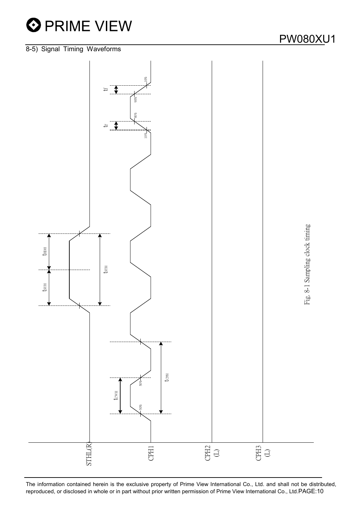



The information contained herein is the exclusive property of Prime View International Co., Ltd. and shall not be distributed, reproduced, or disclosed in whole or in part without prior written permission of Prime View International Co., Ltd.PAGE:10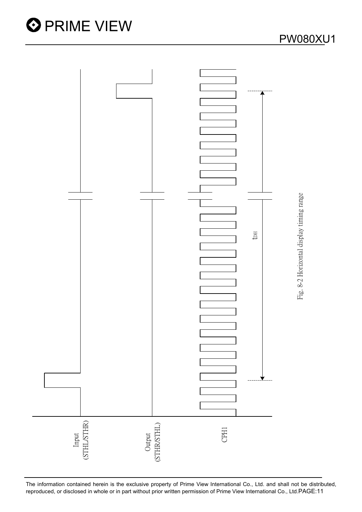

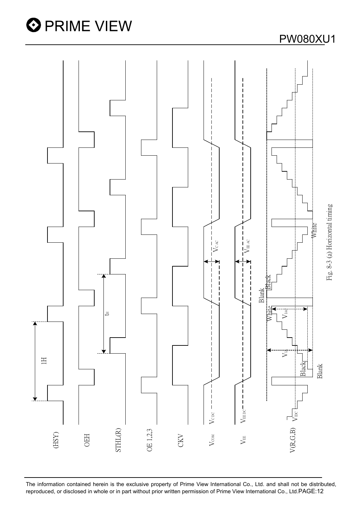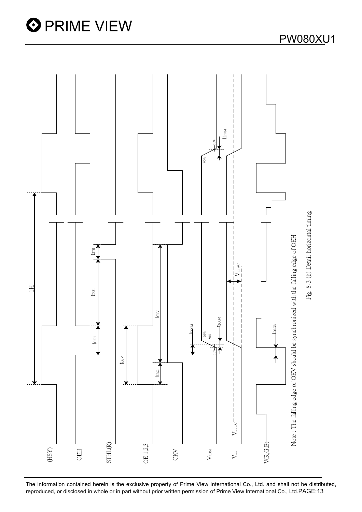



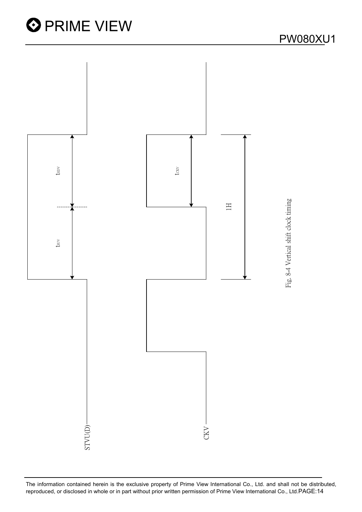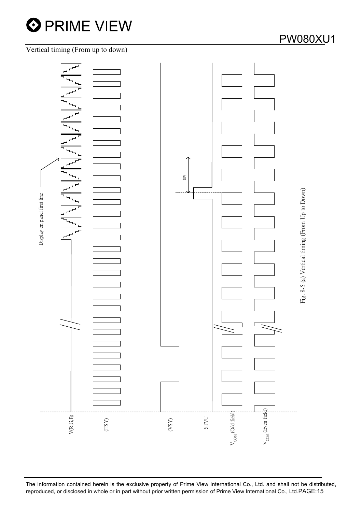

### Vertical timing (From up to down)



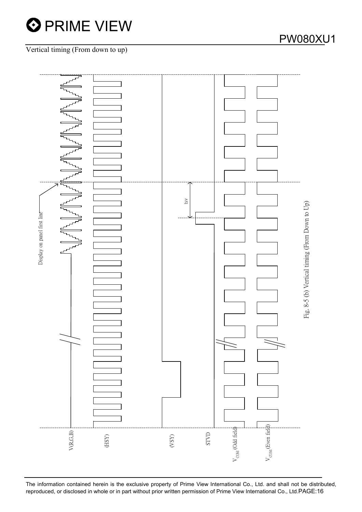

### Vertical timing (From down to up)



The information contained herein is the exclusive property of Prime View International Co., Ltd. and shall not be distributed,

reproduced, or disclosed in whole or in part without prior written permission of Prime View International Co., Ltd.PAGE:16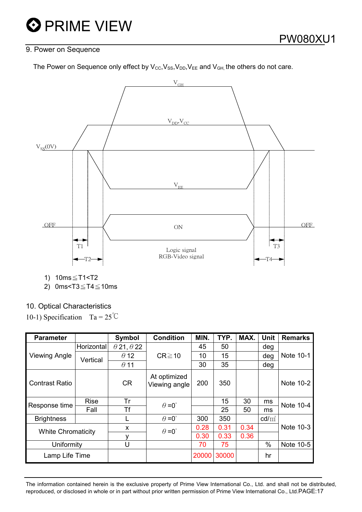### 9. Power on Sequence

The Power on Sequence only effect by  $V_{\text{cc}}$ ,  $V_{\text{ss}}$ ,  $V_{\text{DD}}$ ,  $V_{\text{EE}}$  and  $V_{\text{GH}}$ , the others do not care.



1)  $10ms \le T1 < T2$ 

2) 0ms<T3 $\leq$ T4 $\leq$ 10ms

### 10. Optical Characteristics

10-1) Specification Ta =  $25^{\circ}$ C

| <b>Parameter</b>          |             | <b>Symbol</b>            | <b>Condition</b>              | MIN.  | TYP.  | MAX. | <b>Unit</b>     | <b>Remarks</b> |
|---------------------------|-------------|--------------------------|-------------------------------|-------|-------|------|-----------------|----------------|
|                           | Horizontal  | $\theta$ 21, $\theta$ 22 |                               | 45    | 50    |      | deg             |                |
| <b>Viewing Angle</b>      | Vertical    | $\theta$ 12              | $CR \ge 10$                   | 10    | 15    |      | deg             | Note 10-1      |
|                           |             | $\theta$ 11              |                               | 30    | 35    |      | deg             |                |
| <b>Contrast Ratio</b>     |             | <b>CR</b>                | At optimized<br>Viewing angle | 200   | 350   |      |                 | Note 10-2      |
| Response time             | <b>Rise</b> | Tr                       | $\theta = 0^{\circ}$          |       | 15    | 30   | ms              | Note 10-4      |
|                           | Fall        | Τf                       |                               |       | 25    | 50   | ms              |                |
| <b>Brightness</b>         |             |                          | $\theta = 0^{\circ}$          | 300   | 350   |      | $\text{cd/m}^2$ |                |
| <b>White Chromaticity</b> |             | X                        | $\theta = 0^{\circ}$          | 0.28  | 0.31  | 0.34 |                 | Note 10-3      |
|                           |             |                          |                               | 0.30  | 0.33  | 0.36 |                 |                |
| Uniformity                |             | U                        |                               | 70    | 75    |      | %               | Note 10-5      |
| Lamp Life Time            |             |                          |                               | 20000 | 30000 |      | hr              |                |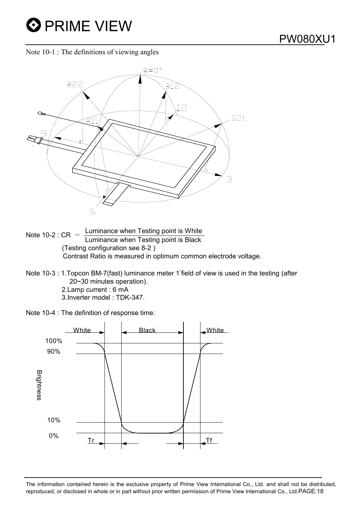Note 10-1 : The definitions of viewing angles



- Note 10-2 :  $CR = \frac{Luminance when Testing point is White}{Luminance when Testing point is Black}$  (Testing configuration see 8-2 ) Contrast Ratio is measured in optimum common electrode voltage.
- Note 10-3 : 1. Topcon BM-7(fast) luminance meter 1 field of view is used in the testing (after 20~30 minutes operation).

2.Lamp current : 6 mA 3.Inverter model : TDK-347.

Note 10-4 : The definition of response time:

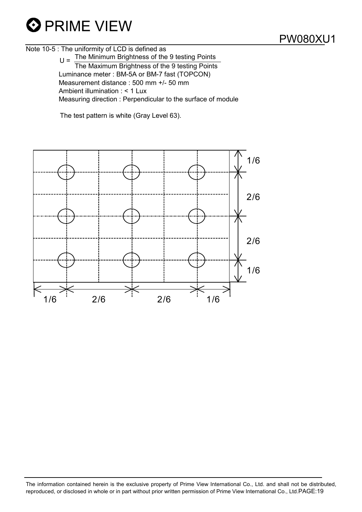

PW080XU1

Note 10-5 : The uniformity of LCD is defined as  $U =$  The Minimum Brightness of the 9 testing Points The Maximum Brightness of the 9 testing Points Luminance meter : BM-5A or BM-7 fast (TOPCON) Measurement distance : 500 mm +/- 50 mm Ambient illumination : < 1 Lux Measuring direction : Perpendicular to the surface of module

The test pattern is white (Gray Level 63).

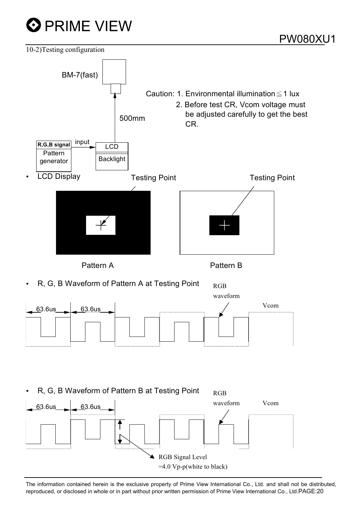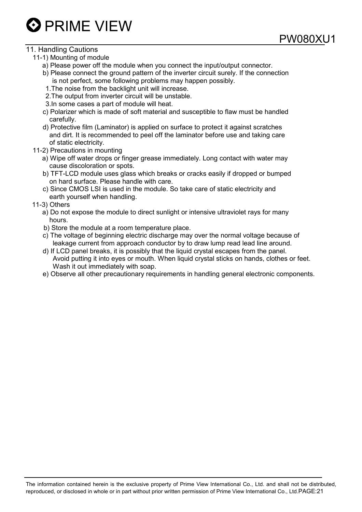

### 11. Handling Cautions

- 11-1) Mounting of module
	- a) Please power off the module when you connect the input/output connector.
	- b) Please connect the ground pattern of the inverter circuit surely. If the connection is not perfect, some following problems may happen possibly.

PW080XU

- 1.The noise from the backlight unit will increase.
- 2.The output from inverter circuit will be unstable.
- 3.In some cases a part of module will heat.
- c) Polarizer which is made of soft material and susceptible to flaw must be handled carefully.
- d) Protective film (Laminator) is applied on surface to protect it against scratches and dirt. It is recommended to peel off the laminator before use and taking care of static electricity.
- 11-2) Precautions in mounting
	- a) Wipe off water drops or finger grease immediately. Long contact with water may cause discoloration or spots.
	- b) TFT-LCD module uses glass which breaks or cracks easily if dropped or bumped on hard surface. Please handle with care.
	- c) Since CMOS LSI is used in the module. So take care of static electricity and earth yourself when handling.

11-3) Others

- a) Do not expose the module to direct sunlight or intensive ultraviolet rays for many hours.
- b) Store the module at a room temperature place.
- c) The voltage of beginning electric discharge may over the normal voltage because of leakage current from approach conductor by to draw lump read lead line around.
- d) If LCD panel breaks, it is possibly that the liquid crystal escapes from the panel. Avoid putting it into eyes or mouth. When liquid crystal sticks on hands, clothes or feet. Wash it out immediately with soap.
- e) Observe all other precautionary requirements in handling general electronic components.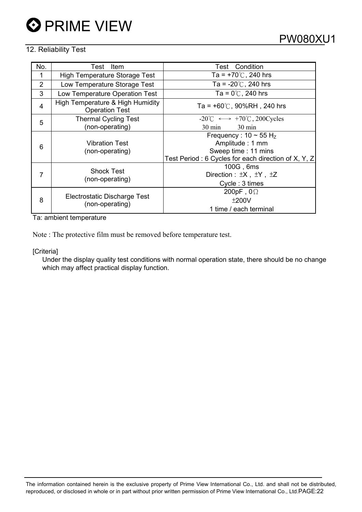### 12. Reliability Test

| No.            | Item<br>Test                                              | <b>Test</b> Condition                                             |  |  |  |  |
|----------------|-----------------------------------------------------------|-------------------------------------------------------------------|--|--|--|--|
|                | High Temperature Storage Test                             | Ta = $+70^{\circ}$ C, 240 hrs                                     |  |  |  |  |
| $\overline{2}$ | Low Temperature Storage Test                              | Ta = $-20^{\circ}$ C, 240 hrs                                     |  |  |  |  |
| 3              | Low Temperature Operation Test                            | Ta = $0^{\circ}$ C, 240 hrs                                       |  |  |  |  |
| 4              | High Temperature & High Humidity<br><b>Operation Test</b> | Ta = $+60^{\circ}$ C, 90%RH, 240 hrs                              |  |  |  |  |
| 5              | <b>Thermal Cycling Test</b>                               | $-20^{\circ}$ C $\longleftrightarrow$ +70 $^{\circ}$ C, 200Cycles |  |  |  |  |
|                | (non-operating)                                           | $30 \text{ min}$<br>$30 \text{ min}$                              |  |  |  |  |
| 6              |                                                           | Frequency: $10 \sim 55$ H <sub>z</sub>                            |  |  |  |  |
|                | <b>Vibration Test</b>                                     | Amplitude: 1 mm                                                   |  |  |  |  |
|                | (non-operating)                                           | Sweep time: 11 mins                                               |  |  |  |  |
|                |                                                           | Test Period: 6 Cycles for each direction of X, Y, Z               |  |  |  |  |
| 7              |                                                           | 100G, 6ms                                                         |  |  |  |  |
|                | <b>Shock Test</b>                                         | Direction : $\pm X$ , $\pm Y$ , $\pm Z$                           |  |  |  |  |
|                | (non-operating)                                           | Cycle: 3 times                                                    |  |  |  |  |
| 8              |                                                           | 200pF, $0\Omega$                                                  |  |  |  |  |
|                | Electrostatic Discharge Test                              | ±200V                                                             |  |  |  |  |
|                | (non-operating)                                           | 1 time / each terminal                                            |  |  |  |  |

Ta: ambient temperature

Note : The protective film must be removed before temperature test.

[Criteria]

Under the display quality test conditions with normal operation state, there should be no change which may affect practical display function.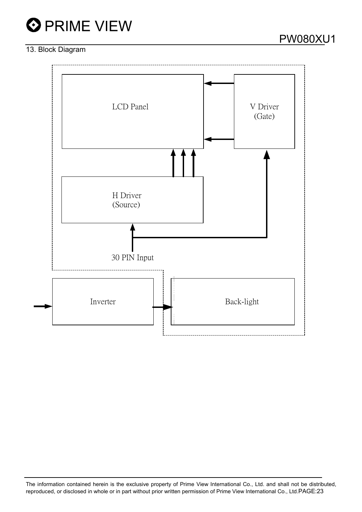

### 13. Block Diagram

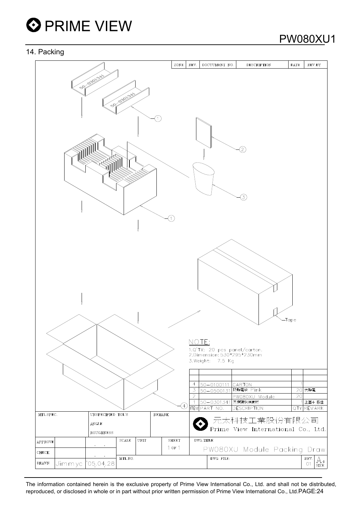

### 14. Packing

| ت ق       |         |                        |                |             |               |                                           |                                                                                                                                                                                        |                                      |             |                                                                 |
|-----------|---------|------------------------|----------------|-------------|---------------|-------------------------------------------|----------------------------------------------------------------------------------------------------------------------------------------------------------------------------------------|--------------------------------------|-------------|-----------------------------------------------------------------|
|           |         |                        |                |             | ZONE          | REV.                                      | DOCUUMENT NO.                                                                                                                                                                          | <b>DESCRIPTION</b>                   | DATE        | REV.BY                                                          |
|           | S       | 030138<br>S            | <b>0391.34</b> |             |               |                                           |                                                                                                                                                                                        | 2<br>3,                              |             |                                                                 |
|           |         |                        |                |             | $\circled{4}$ | NOTE:<br>$\overline{4}$<br>$\overline{2}$ | 1.Q'TY: 20 pcs panel/carton.<br>2.Dimension: 530*295*230mm<br>3. Weight: 7.5 Kg<br><u> 50-0100111 CARTON</u><br>3 50-0500131 防静電袋 Pink<br>1 50-0301341 瓦楞隔板緩衝材<br><b>ITEM PART NO.</b> | PW080XU Module<br><b>DESCRIPTION</b> | -Tape<br>20 | 20 抗靜電<br>上蓋+底座<br>QTY REMARK                                   |
| MTL SPEC. |         | UNSPECIFIED TOL'S      |                |             | REMARK        |                                           |                                                                                                                                                                                        |                                      |             |                                                                 |
|           |         | ANGLE                  |                |             |               |                                           |                                                                                                                                                                                        | 元太科技工業股份有限公司                         |             |                                                                 |
|           |         | ROUGHNESS              |                |             |               |                                           |                                                                                                                                                                                        | Prime View International Co., Ltd.   |             |                                                                 |
| APPROVE   |         |                        | <b>SCALE</b>   | <b>UNIT</b> | <b>SHEET</b>  |                                           | DWG.TITLE                                                                                                                                                                              |                                      |             |                                                                 |
| CHECK     |         | $\bullet$<br>$\bullet$ |                |             | $1$ or $1$    |                                           |                                                                                                                                                                                        | PW080XU Module Packing Draw          |             |                                                                 |
| DRAWN     |         | $\bullet$              | MTL.NO.        |             |               |                                           | DWG FILE:                                                                                                                                                                              |                                      |             | REV.<br>$\mathop{\mathrm{A}}_{\mathop{\mathrm{size}}\nolimits}$ |
|           | Jimmyc" | '05.04.28              |                |             |               |                                           |                                                                                                                                                                                        |                                      |             | O <sub>1</sub>                                                  |